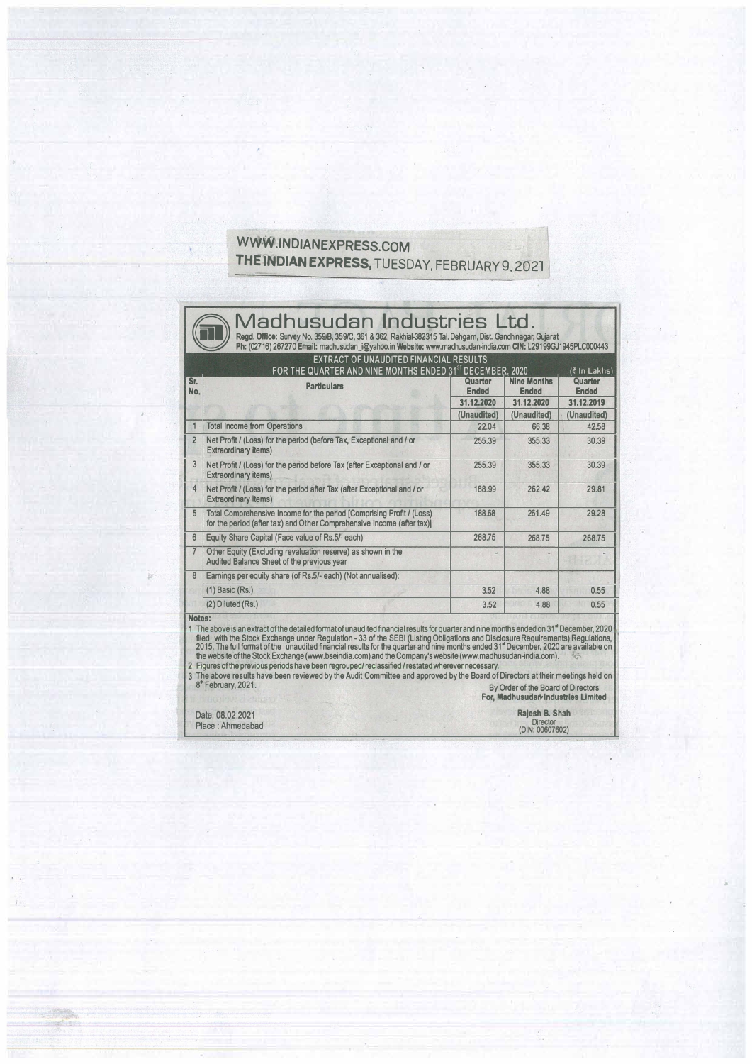## WWW.INDIANEXPRESS.COM THE INDIAN EXPRESS, TUESDAY, FEBRUARY 9, 2021

×

| Quarter<br><b>Ended</b><br>31.12.2020<br>(Unaudited)<br>22.04<br>255.39<br>255.39<br>188.99<br>188.68 | <b>Nine Months</b><br><b>Ended</b><br>31.12.2020<br>(Unaudited)<br>66.38<br>355.33<br>355.33<br>262.42 | Quarter<br><b>Ended</b><br>31.12.2019<br>(Unaudited)<br>42.58<br>30.39<br>30.39<br>29.81                                                                                                                                                                                                                                                                                                                                                                                                                                                                                                                                                                                                                                                    |
|-------------------------------------------------------------------------------------------------------|--------------------------------------------------------------------------------------------------------|---------------------------------------------------------------------------------------------------------------------------------------------------------------------------------------------------------------------------------------------------------------------------------------------------------------------------------------------------------------------------------------------------------------------------------------------------------------------------------------------------------------------------------------------------------------------------------------------------------------------------------------------------------------------------------------------------------------------------------------------|
|                                                                                                       |                                                                                                        |                                                                                                                                                                                                                                                                                                                                                                                                                                                                                                                                                                                                                                                                                                                                             |
|                                                                                                       |                                                                                                        |                                                                                                                                                                                                                                                                                                                                                                                                                                                                                                                                                                                                                                                                                                                                             |
|                                                                                                       |                                                                                                        |                                                                                                                                                                                                                                                                                                                                                                                                                                                                                                                                                                                                                                                                                                                                             |
|                                                                                                       |                                                                                                        |                                                                                                                                                                                                                                                                                                                                                                                                                                                                                                                                                                                                                                                                                                                                             |
|                                                                                                       |                                                                                                        |                                                                                                                                                                                                                                                                                                                                                                                                                                                                                                                                                                                                                                                                                                                                             |
|                                                                                                       |                                                                                                        |                                                                                                                                                                                                                                                                                                                                                                                                                                                                                                                                                                                                                                                                                                                                             |
|                                                                                                       |                                                                                                        |                                                                                                                                                                                                                                                                                                                                                                                                                                                                                                                                                                                                                                                                                                                                             |
|                                                                                                       | 261.49                                                                                                 | 29.28                                                                                                                                                                                                                                                                                                                                                                                                                                                                                                                                                                                                                                                                                                                                       |
| 268.75                                                                                                | 268.75                                                                                                 | 268.75                                                                                                                                                                                                                                                                                                                                                                                                                                                                                                                                                                                                                                                                                                                                      |
|                                                                                                       |                                                                                                        |                                                                                                                                                                                                                                                                                                                                                                                                                                                                                                                                                                                                                                                                                                                                             |
|                                                                                                       |                                                                                                        |                                                                                                                                                                                                                                                                                                                                                                                                                                                                                                                                                                                                                                                                                                                                             |
| 3.52                                                                                                  | 4.88                                                                                                   | 0.55                                                                                                                                                                                                                                                                                                                                                                                                                                                                                                                                                                                                                                                                                                                                        |
| 3.52                                                                                                  | 4.88                                                                                                   | 0.55                                                                                                                                                                                                                                                                                                                                                                                                                                                                                                                                                                                                                                                                                                                                        |
|                                                                                                       | 2 Figures of the previous periods have been regrouped/reclassified/restated wherever necessary.        | 1 The above is an extract of the detailed format of unaudited financial results for quarter and nine months ended on 31" December, 2020<br>filed with the Stock Exchange under Regulation - 33 of the SEBI (Listing Obligations and Disclosure Requirements) Regulations,<br>2015. The full format of the unaudited financial results for the quarter and nine months ended 31" December, 2020 are available on<br>the website of the Stock Exchange (www.bseindia.com) and the Company's website (www.madhusudan-india.com).<br>3 The above results have been reviewed by the Audit Committee and approved by the Board of Directors at their meetings held on<br>By Order of the Board of Directors<br>For, Madhusudar Industries Limited |

.,\_.